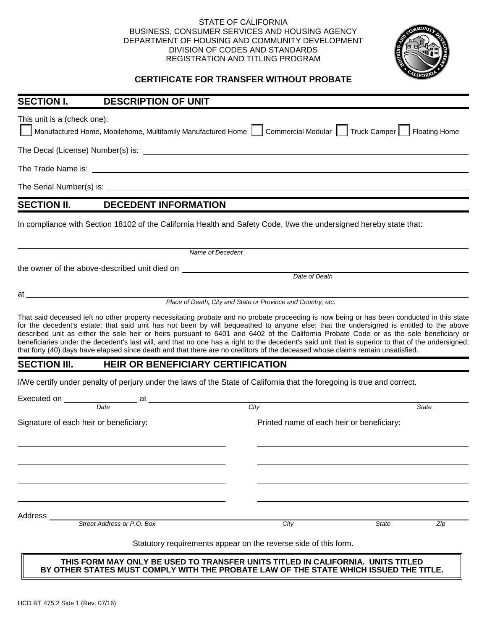## STATE OF CALIFORNIA BUSINESS, CONSUMER SERVICES AND HOUSING AGENCY DEPARTMENT OF HOUSING AND COMMUNITY DEVELOPMENT DIVISION OF CODES AND STANDARDS REGISTRATION AND TITLING PROGRAM



## **CERTIFICATE FOR TRANSFER WITHOUT PROBATE**

| <b>SECTION I.</b>                      | <b>DESCRIPTION OF UNIT</b>                                   |                                                                                                                                                                                                                                                                                                                                                                                                                                                                                                                                                                                                                                                                                                                         |
|----------------------------------------|--------------------------------------------------------------|-------------------------------------------------------------------------------------------------------------------------------------------------------------------------------------------------------------------------------------------------------------------------------------------------------------------------------------------------------------------------------------------------------------------------------------------------------------------------------------------------------------------------------------------------------------------------------------------------------------------------------------------------------------------------------------------------------------------------|
| This unit is a (check one):            | Manufactured Home, Mobilehome, Multifamily Manufactured Home | Commercial Modular  <br>Truck Camper<br><b>Floating Home</b>                                                                                                                                                                                                                                                                                                                                                                                                                                                                                                                                                                                                                                                            |
|                                        |                                                              |                                                                                                                                                                                                                                                                                                                                                                                                                                                                                                                                                                                                                                                                                                                         |
|                                        |                                                              |                                                                                                                                                                                                                                                                                                                                                                                                                                                                                                                                                                                                                                                                                                                         |
|                                        |                                                              |                                                                                                                                                                                                                                                                                                                                                                                                                                                                                                                                                                                                                                                                                                                         |
| <b>SECTION II.</b>                     | <b>DECEDENT INFORMATION</b>                                  |                                                                                                                                                                                                                                                                                                                                                                                                                                                                                                                                                                                                                                                                                                                         |
|                                        |                                                              | In compliance with Section 18102 of the California Health and Safety Code, I/we the undersigned hereby state that:                                                                                                                                                                                                                                                                                                                                                                                                                                                                                                                                                                                                      |
|                                        |                                                              | Name of Decedent                                                                                                                                                                                                                                                                                                                                                                                                                                                                                                                                                                                                                                                                                                        |
|                                        | the owner of the above-described unit died on                |                                                                                                                                                                                                                                                                                                                                                                                                                                                                                                                                                                                                                                                                                                                         |
|                                        |                                                              | Date of Death                                                                                                                                                                                                                                                                                                                                                                                                                                                                                                                                                                                                                                                                                                           |
|                                        |                                                              | Place of Death, City and State or Province and Country, etc.                                                                                                                                                                                                                                                                                                                                                                                                                                                                                                                                                                                                                                                            |
|                                        |                                                              | That said deceased left no other property necessitating probate and no probate proceeding is now being or has been conducted in this state<br>for the decedent's estate; that said unit has not been by will bequeathed to anyone else; that the undersigned is entitled to the above<br>described unit as either the sole heir or heirs pursuant to 6401 and 6402 of the California Probate Code or as the sole beneficiary or<br>beneficiaries under the decedent's last will, and that no one has a right to the decedent's said unit that is superior to that of the undersigned;<br>that forty (40) days have elapsed since death and that there are no creditors of the deceased whose claims remain unsatisfied. |
| <b>SECTION III.</b>                    | <b>HEIR OR BENEFICIARY CERTIFICATION</b>                     |                                                                                                                                                                                                                                                                                                                                                                                                                                                                                                                                                                                                                                                                                                                         |
|                                        |                                                              | I/We certify under penalty of perjury under the laws of the State of California that the foregoing is true and correct.                                                                                                                                                                                                                                                                                                                                                                                                                                                                                                                                                                                                 |
|                                        | Executed on <u>Date</u> at <u>Date</u>                       |                                                                                                                                                                                                                                                                                                                                                                                                                                                                                                                                                                                                                                                                                                                         |
|                                        |                                                              | City<br><b>State</b>                                                                                                                                                                                                                                                                                                                                                                                                                                                                                                                                                                                                                                                                                                    |
|                                        |                                                              |                                                                                                                                                                                                                                                                                                                                                                                                                                                                                                                                                                                                                                                                                                                         |
| Signature of each heir or beneficiary: |                                                              | Printed name of each heir or beneficiary:                                                                                                                                                                                                                                                                                                                                                                                                                                                                                                                                                                                                                                                                               |
|                                        |                                                              |                                                                                                                                                                                                                                                                                                                                                                                                                                                                                                                                                                                                                                                                                                                         |
|                                        |                                                              |                                                                                                                                                                                                                                                                                                                                                                                                                                                                                                                                                                                                                                                                                                                         |
|                                        |                                                              |                                                                                                                                                                                                                                                                                                                                                                                                                                                                                                                                                                                                                                                                                                                         |
| Address                                | Street Address or P.O. Box                                   | City<br>Zip<br>State                                                                                                                                                                                                                                                                                                                                                                                                                                                                                                                                                                                                                                                                                                    |

Statutory requirements appear on the reverse side of this form.

**THIS FORM MAY ONLY BE USED TO TRANSFER UNITS TITLED IN CALIFORNIA. UNITS TITLED BY OTHER STATES MUST COMPLY WITH THE PROBATE LAW OF THE STATE WHICH ISSUED THE TITLE.**